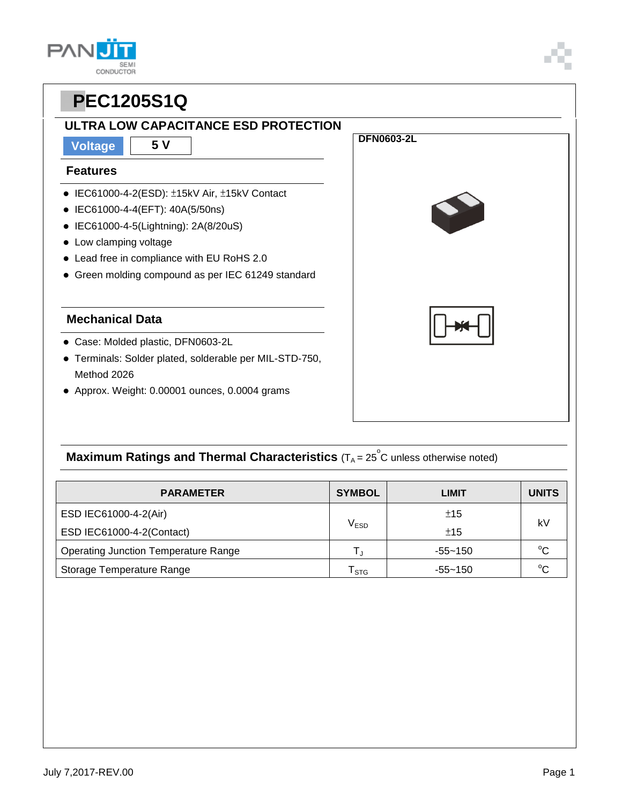## **ULTRA LOW CAPACITANCE ESD PROTECTION**

**Voltage 5 V**

#### **Features**

- IEC61000-4-2(ESD): ±15kV Air, ±15kV Contact
- IEC61000-4-4(EFT): 40A(5/50ns)
- IEC61000-4-5(Lightning): 2A(8/20uS)
- Low clamping voltage
- Lead free in compliance with EU RoHS 2.0
- Green molding compound as per IEC 61249 standard

#### **Mechanical Data**

- Case: Molded plastic, DFN0603-2L
- Terminals: Solder plated, solderable per MIL-STD-750, Method 2026
- Approx. Weight: 0.00001 ounces, 0.0004 grams



## **Maximum Ratings and Thermal Characteristics** (T<sub>A</sub> = 25<sup>°</sup>C unless otherwise noted)

| <b>PARAMETER</b>                            | <b>SYMBOL</b>               | LIMIT       | <b>UNITS</b> |
|---------------------------------------------|-----------------------------|-------------|--------------|
| ESD IEC61000-4-2(Air)                       |                             | ±15         |              |
| ESD IEC61000-4-2(Contact)                   | $\mathsf{V}_{\mathsf{ESD}}$ | ±15         | kV           |
| <b>Operating Junction Temperature Range</b> | т.                          | $-55 - 150$ | $^{\circ}C$  |
| Storage Temperature Range                   | $\mathsf{r}_{\textsf{STG}}$ | $-55 - 150$ | $^{\circ}C$  |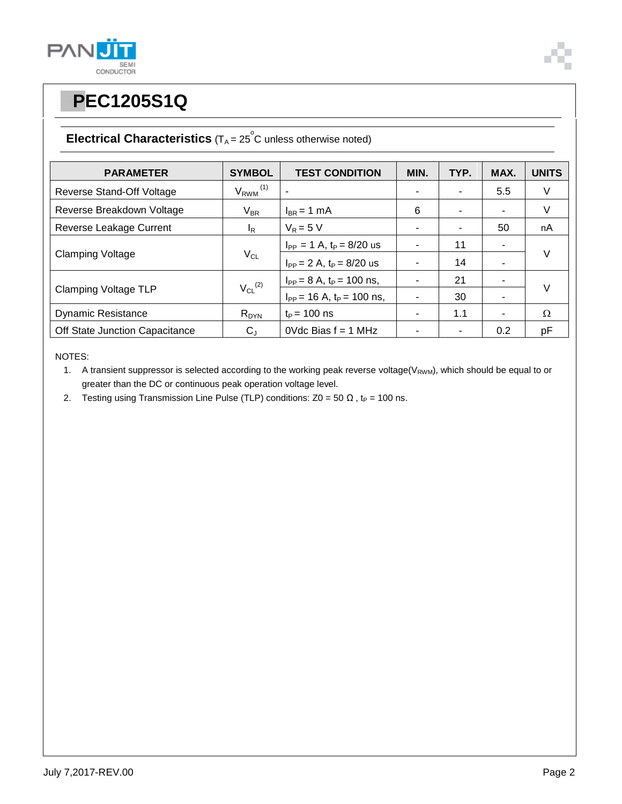



### **Electrical Characteristics**  $(T_A = 25^\circ \text{C}$  unless otherwise noted)

| <b>PARAMETER</b>               | <b>SYMBOL</b>            | <b>TEST CONDITION</b>            | MIN. | TYP. | MAX. | <b>UNITS</b> |  |
|--------------------------------|--------------------------|----------------------------------|------|------|------|--------------|--|
| Reverse Stand-Off Voltage      | $V_{RWM}$ <sup>(1)</sup> |                                  |      |      | 5.5  | V            |  |
| Reverse Breakdown Voltage      | $V_{BR}$                 | $I_{BR}$ = 1 mA                  | 6    | ۰    | ٠    | V            |  |
| Reverse Leakage Current        | $I_R$                    | $V_R = 5 V$                      |      |      | 50   | nA           |  |
| <b>Clamping Voltage</b>        | $V_{CL}$                 | $I_{PP} = 1$ A, $t_P = 8/20$ us  |      | 11   | ۰    | $\vee$       |  |
|                                |                          | $I_{PP} = 2 A$ , $t_P = 8/20$ us |      | 14   |      |              |  |
| Clamping Voltage TLP           | $V_{CL}$ <sup>(2)</sup>  | $I_{PP} = 8 A$ , $t_P = 100$ ns, |      | 21   | ۰    | $\vee$       |  |
|                                |                          | $I_{PP}$ = 16 A, $t_P$ = 100 ns, |      | 30   | ۰    |              |  |
| <b>Dynamic Resistance</b>      | $R_{DYN}$                | $t_{\rm P}$ = 100 ns             |      | 1.1  | ۰    | $\Omega$     |  |
| Off State Junction Capacitance | $C_{J}$                  | OVdc Bias $f = 1$ MHz            |      |      | 0.2  | рF           |  |

NOTES:

1. A transient suppressor is selected according to the working peak reverse voltage( $V_{RWM}$ ), which should be equal to or greater than the DC or continuous peak operation voltage level.

2. Testing using Transmission Line Pulse (TLP) conditions:  $Z0 = 50 \Omega$ , t<sub>P</sub> = 100 ns.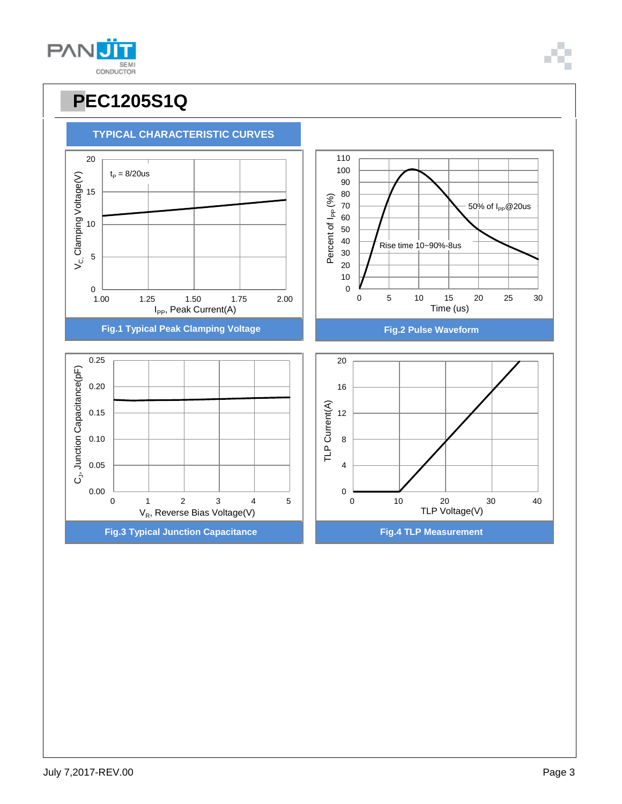



**TYPICAL CHARACTERISTIC CURVES**

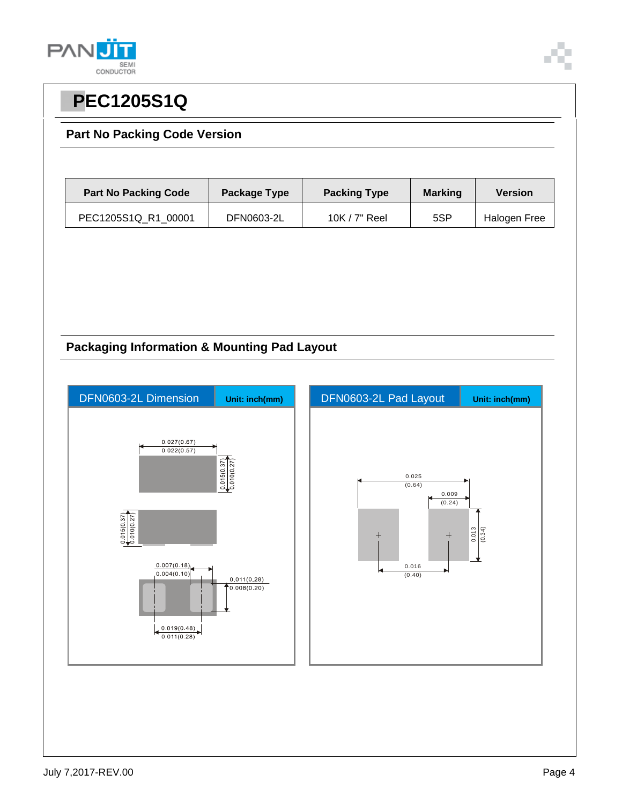



#### **Part No Packing Code Version**

| <b>Part No Packing Code</b> | Package Type | <b>Packing Type</b> | <b>Marking</b> | <b>Version</b> |
|-----------------------------|--------------|---------------------|----------------|----------------|
| PEC1205S1Q R1 00001         | DFN0603-2L   | 10K / 7" Reel       | 5SP            | Halogen Free   |

#### **Packaging Information & Mounting Pad Layout**